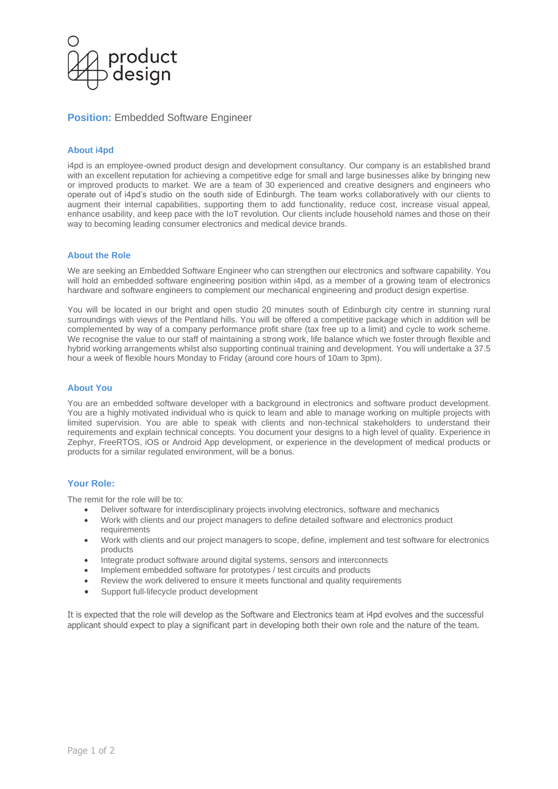

# **Position: Embedded Software Engineer**

## **About i4pd**

i4pd is an employee-owned product design and development consultancy. Our company is an established brand with an excellent reputation for achieving a competitive edge for small and large businesses alike by bringing new or improved products to market. We are a team of 30 experienced and creative designers and engineers who operate out of i4pd's studio on the south side of Edinburgh. The team works collaboratively with our clients to augment their internal capabilities, supporting them to add functionality, reduce cost, increase visual appeal, enhance usability, and keep pace with the IoT revolution. Our clients include household names and those on their way to becoming leading consumer electronics and medical device brands.

## **About the Role**

We are seeking an Embedded Software Engineer who can strengthen our electronics and software capability. You will hold an embedded software engineering position within i4pd, as a member of a growing team of electronics hardware and software engineers to complement our mechanical engineering and product design expertise.

You will be located in our bright and open studio 20 minutes south of Edinburgh city centre in stunning rural surroundings with views of the Pentland hills. You will be offered a competitive package which in addition will be complemented by way of a company performance profit share (tax free up to a limit) and cycle to work scheme. We recognise the value to our staff of maintaining a strong work, life balance which we foster through flexible and hybrid working arrangements whilst also supporting continual training and development. You will undertake a 37.5 hour a week of flexible hours Monday to Friday (around core hours of 10am to 3pm).

#### **About You**

You are an embedded software developer with a background in electronics and software product development. You are a highly motivated individual who is quick to learn and able to manage working on multiple projects with limited supervision. You are able to speak with clients and non-technical stakeholders to understand their requirements and explain technical concepts. You document your designs to a high level of quality. Experience in Zephyr, FreeRTOS, iOS or Android App development, or experience in the development of medical products or products for a similar regulated environment, will be a bonus.

## **Your Role:**

The remit for the role will be to:

- Deliver software for interdisciplinary projects involving electronics, software and mechanics
- Work with clients and our project managers to define detailed software and electronics product requirements
- Work with clients and our project managers to scope, define, implement and test software for electronics products
- Integrate product software around digital systems, sensors and interconnects
- Implement embedded software for prototypes / test circuits and products
- Review the work delivered to ensure it meets functional and quality requirements
- Support full-lifecycle product development

It is expected that the role will develop as the Software and Electronics team at i4pd evolves and the successful applicant should expect to play a significant part in developing both their own role and the nature of the team.